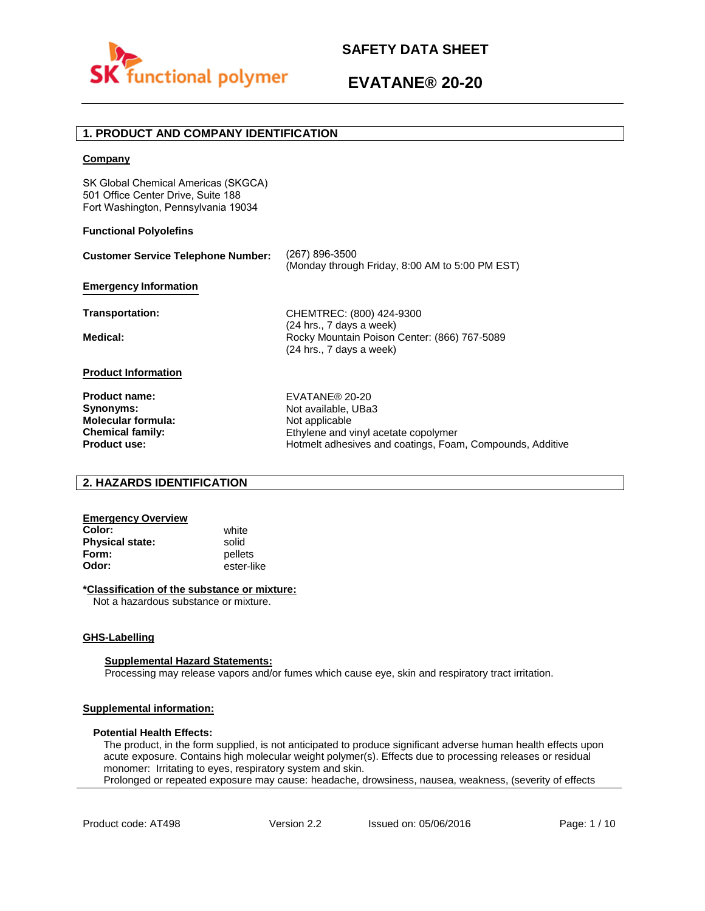

# **1. PRODUCT AND COMPANY IDENTIFICATION**

## **Company**

SK Global Chemical Americas (SKGCA) 501 Office Center Drive, Suite 188 Fort Washington, Pennsylvania 19034

## **Functional Polyolefins**

| <b>Customer Service Telephone Number:</b> | (267) 896-3500<br>(Monday through Friday, 8:00 AM to 5:00 PM EST)        |
|-------------------------------------------|--------------------------------------------------------------------------|
| <b>Emergency Information</b>              |                                                                          |
| Transportation:                           | CHEMTREC: (800) 424-9300<br>(24 hrs., 7 days a week)                     |
| Medical:                                  | Rocky Mountain Poison Center: (866) 767-5089<br>(24 hrs., 7 days a week) |
| <b>Product Information</b>                |                                                                          |
| <b>Product name:</b>                      | EVATANE® 20-20                                                           |
| Synonyms:                                 | Not available, UBa3                                                      |
| <b>Molecular formula:</b>                 | Not applicable                                                           |
| <b>Chemical family:</b>                   | Ethylene and vinyl acetate copolymer                                     |

# **2. HAZARDS IDENTIFICATION**

# **Emergency Overview**

**Color:** white **Physical state:** solid<br> **Form:** nellet **Form:** pellets<br> **Odor:** ester-li

**Product use:**

**Odor:** ester-like

# **\*Classification of the substance or mixture:**

Not a hazardous substance or mixture.

### **GHS-Labelling**

### **Supplemental Hazard Statements:**

Processing may release vapors and/or fumes which cause eye, skin and respiratory tract irritation.

# **Supplemental information:**

## **Potential Health Effects:**

The product, in the form supplied, is not anticipated to produce significant adverse human health effects upon acute exposure. Contains high molecular weight polymer(s). Effects due to processing releases or residual monomer: Irritating to eyes, respiratory system and skin. Prolonged or repeated exposure may cause: headache, drowsiness, nausea, weakness, (severity of effects

Hotmelt adhesives and coatings, Foam, Compounds, Additive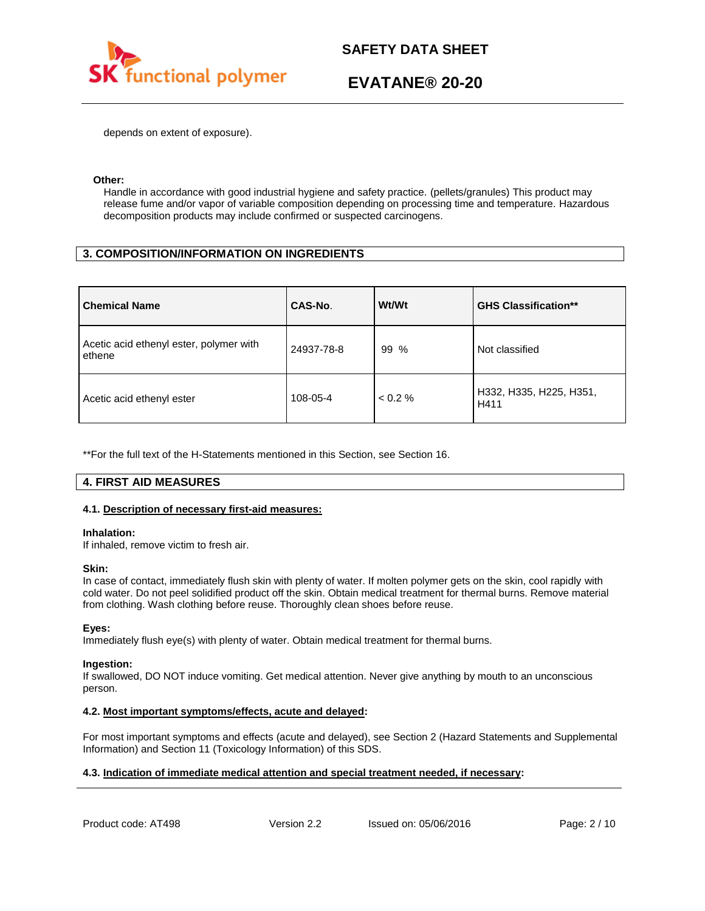

depends on extent of exposure).

## **Other:**

Handle in accordance with good industrial hygiene and safety practice. (pellets/granules) This product may release fume and/or vapor of variable composition depending on processing time and temperature. Hazardous decomposition products may include confirmed or suspected carcinogens.

# **3. COMPOSITION/INFORMATION ON INGREDIENTS**

| <b>Chemical Name</b>                              | CAS-No.    | Wt/Wt      | <b>GHS Classification**</b>     |
|---------------------------------------------------|------------|------------|---------------------------------|
| Acetic acid ethenyl ester, polymer with<br>ethene | 24937-78-8 | 99<br>$\%$ | Not classified                  |
| Acetic acid ethenyl ester                         | 108-05-4   | < 0.2 %    | H332, H335, H225, H351,<br>H411 |

\*\*For the full text of the H-Statements mentioned in this Section, see Section 16.

# **4. FIRST AID MEASURES**

# **4.1. Description of necessary first-aid measures:**

### **Inhalation:**

If inhaled, remove victim to fresh air.

### **Skin:**

In case of contact, immediately flush skin with plenty of water. If molten polymer gets on the skin, cool rapidly with cold water. Do not peel solidified product off the skin. Obtain medical treatment for thermal burns. Remove material from clothing. Wash clothing before reuse. Thoroughly clean shoes before reuse.

# **Eyes:**

Immediately flush eye(s) with plenty of water. Obtain medical treatment for thermal burns.

### **Ingestion:**

If swallowed, DO NOT induce vomiting. Get medical attention. Never give anything by mouth to an unconscious person.

# **4.2. Most important symptoms/effects, acute and delayed:**

For most important symptoms and effects (acute and delayed), see Section 2 (Hazard Statements and Supplemental Information) and Section 11 (Toxicology Information) of this SDS.

# **4.3. Indication of immediate medical attention and special treatment needed, if necessary:**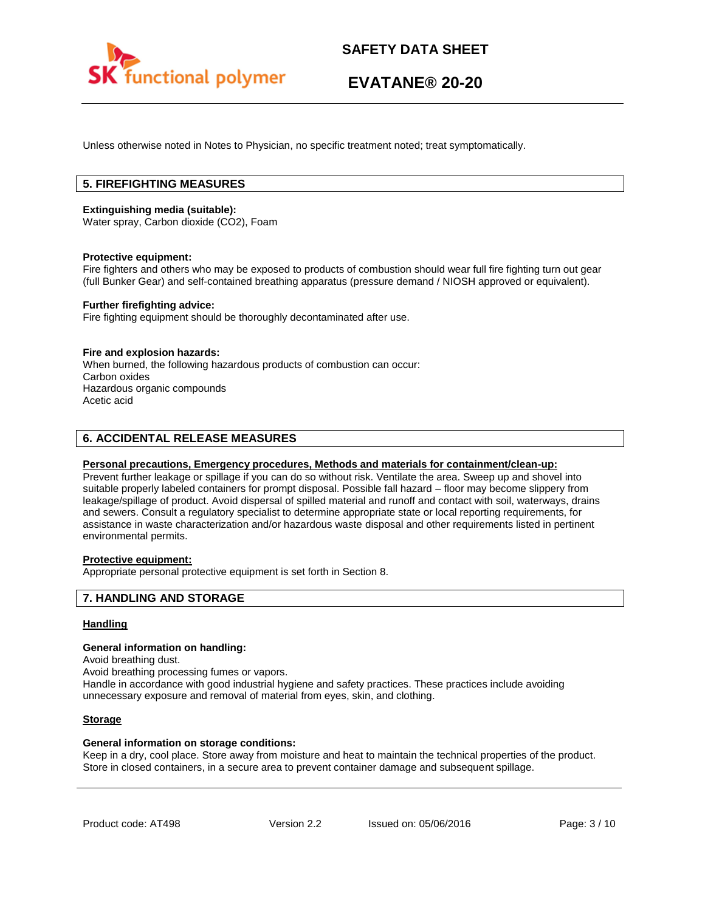

Unless otherwise noted in Notes to Physician, no specific treatment noted; treat symptomatically.

# **5. FIREFIGHTING MEASURES**

### **Extinguishing media (suitable):**

Water spray, Carbon dioxide (CO2), Foam

### **Protective equipment:**

Fire fighters and others who may be exposed to products of combustion should wear full fire fighting turn out gear (full Bunker Gear) and self-contained breathing apparatus (pressure demand / NIOSH approved or equivalent).

## **Further firefighting advice:**

Fire fighting equipment should be thoroughly decontaminated after use.

### **Fire and explosion hazards:**

When burned, the following hazardous products of combustion can occur: Carbon oxides Hazardous organic compounds Acetic acid

# **6. ACCIDENTAL RELEASE MEASURES**

## **Personal precautions, Emergency procedures, Methods and materials for containment/clean-up:**

Prevent further leakage or spillage if you can do so without risk. Ventilate the area. Sweep up and shovel into suitable properly labeled containers for prompt disposal. Possible fall hazard – floor may become slippery from leakage/spillage of product. Avoid dispersal of spilled material and runoff and contact with soil, waterways, drains and sewers. Consult a regulatory specialist to determine appropriate state or local reporting requirements, for assistance in waste characterization and/or hazardous waste disposal and other requirements listed in pertinent environmental permits.

# **Protective equipment:**

Appropriate personal protective equipment is set forth in Section 8.

# **7. HANDLING AND STORAGE**

## **Handling**

#### **General information on handling:**

Avoid breathing dust.

Avoid breathing processing fumes or vapors.

Handle in accordance with good industrial hygiene and safety practices. These practices include avoiding unnecessary exposure and removal of material from eyes, skin, and clothing.

## **Storage**

### **General information on storage conditions:**

Keep in a dry, cool place. Store away from moisture and heat to maintain the technical properties of the product. Store in closed containers, in a secure area to prevent container damage and subsequent spillage.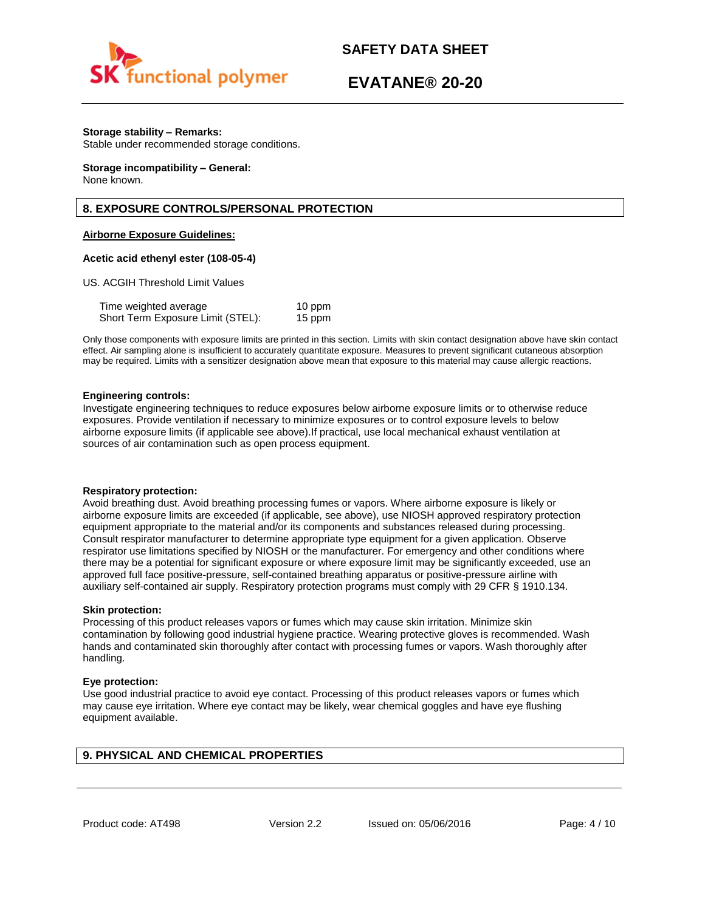

# **EVATANE® 20-20**

# **Storage stability – Remarks:**

Stable under recommended storage conditions.

#### **Storage incompatibility – General:**  None known.

# **8. EXPOSURE CONTROLS/PERSONAL PROTECTION**

# **Airborne Exposure Guidelines:**

## **Acetic acid ethenyl ester (108-05-4)**

US. ACGIH Threshold Limit Values

| Time weighted average             | 10 ppm |
|-----------------------------------|--------|
| Short Term Exposure Limit (STEL): | 15 ppm |

Only those components with exposure limits are printed in this section. Limits with skin contact designation above have skin contact effect. Air sampling alone is insufficient to accurately quantitate exposure. Measures to prevent significant cutaneous absorption may be required. Limits with a sensitizer designation above mean that exposure to this material may cause allergic reactions.

### **Engineering controls:**

Investigate engineering techniques to reduce exposures below airborne exposure limits or to otherwise reduce exposures. Provide ventilation if necessary to minimize exposures or to control exposure levels to below airborne exposure limits (if applicable see above).If practical, use local mechanical exhaust ventilation at sources of air contamination such as open process equipment.

### **Respiratory protection:**

Avoid breathing dust. Avoid breathing processing fumes or vapors. Where airborne exposure is likely or airborne exposure limits are exceeded (if applicable, see above), use NIOSH approved respiratory protection equipment appropriate to the material and/or its components and substances released during processing. Consult respirator manufacturer to determine appropriate type equipment for a given application. Observe respirator use limitations specified by NIOSH or the manufacturer. For emergency and other conditions where there may be a potential for significant exposure or where exposure limit may be significantly exceeded, use an approved full face positive-pressure, self-contained breathing apparatus or positive-pressure airline with auxiliary self-contained air supply. Respiratory protection programs must comply with 29 CFR § 1910.134.

### **Skin protection:**

Processing of this product releases vapors or fumes which may cause skin irritation. Minimize skin contamination by following good industrial hygiene practice. Wearing protective gloves is recommended. Wash hands and contaminated skin thoroughly after contact with processing fumes or vapors. Wash thoroughly after handling.

### **Eye protection:**

Use good industrial practice to avoid eye contact. Processing of this product releases vapors or fumes which may cause eye irritation. Where eye contact may be likely, wear chemical goggles and have eye flushing equipment available.

# **9. PHYSICAL AND CHEMICAL PROPERTIES**

Product code: AT498 Version 2.2 Issued on: 05/06/2016 Page: 4/10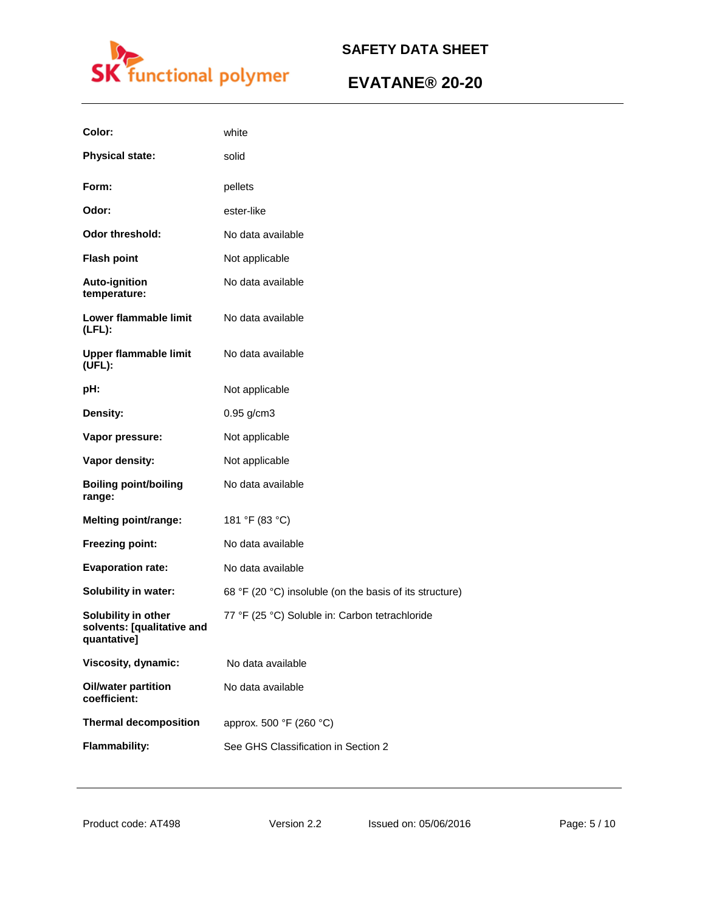

| Color:                                                           | white                                                   |
|------------------------------------------------------------------|---------------------------------------------------------|
| <b>Physical state:</b>                                           | solid                                                   |
| Form:                                                            | pellets                                                 |
| Odor:                                                            | ester-like                                              |
| <b>Odor threshold:</b>                                           | No data available                                       |
| <b>Flash point</b>                                               | Not applicable                                          |
| <b>Auto-ignition</b><br>temperature:                             | No data available                                       |
| Lower flammable limit<br>$(LFL)$ :                               | No data available                                       |
| <b>Upper flammable limit</b><br>(UEL):                           | No data available                                       |
| pH:                                                              | Not applicable                                          |
| Density:                                                         | 0.95 g/cm3                                              |
| Vapor pressure:                                                  | Not applicable                                          |
| Vapor density:                                                   | Not applicable                                          |
| <b>Boiling point/boiling</b><br>range:                           | No data available                                       |
| <b>Melting point/range:</b>                                      | 181 °F (83 °C)                                          |
| Freezing point:                                                  | No data available                                       |
| <b>Evaporation rate:</b>                                         | No data available                                       |
| Solubility in water:                                             | 68 °F (20 °C) insoluble (on the basis of its structure) |
| Solubility in other<br>solvents: [qualitative and<br>quantative] | 77 °F (25 °C) Soluble in: Carbon tetrachloride          |
| Viscosity, dynamic:                                              | No data available                                       |
| <b>Oil/water partition</b><br>coefficient:                       | No data available                                       |
| <b>Thermal decomposition</b>                                     | approx. 500 °F (260 °C)                                 |
| <b>Flammability:</b>                                             | See GHS Classification in Section 2                     |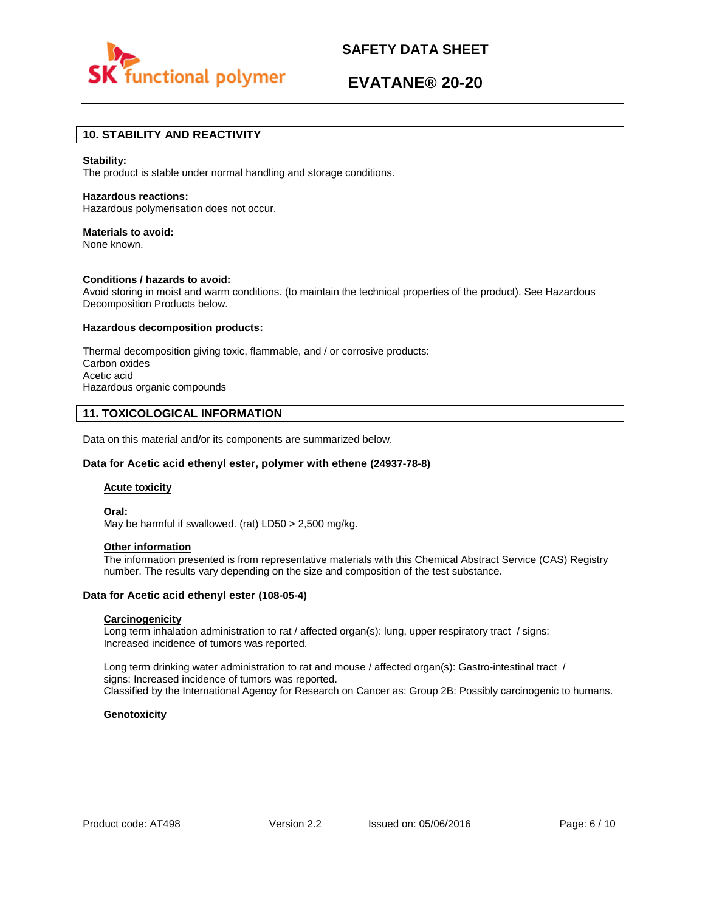

# **EVATANE® 20-20**

# **10. STABILITY AND REACTIVITY**

### **Stability:**

The product is stable under normal handling and storage conditions.

### **Hazardous reactions:**

Hazardous polymerisation does not occur.

# **Materials to avoid:**

None known.

### **Conditions / hazards to avoid:**

Avoid storing in moist and warm conditions. (to maintain the technical properties of the product). See Hazardous Decomposition Products below.

### **Hazardous decomposition products:**

Thermal decomposition giving toxic, flammable, and / or corrosive products: Carbon oxides Acetic acid Hazardous organic compounds

# **11. TOXICOLOGICAL INFORMATION**

Data on this material and/or its components are summarized below.

### **Data for Acetic acid ethenyl ester, polymer with ethene (24937-78-8)**

### **Acute toxicity**

**Oral:**

May be harmful if swallowed. (rat) LD50 > 2,500 mg/kg.

# **Other information**

The information presented is from representative materials with this Chemical Abstract Service (CAS) Registry number. The results vary depending on the size and composition of the test substance.

### **Data for Acetic acid ethenyl ester (108-05-4)**

# **Carcinogenicity**

Long term inhalation administration to rat / affected organ(s): lung, upper respiratory tract / signs: Increased incidence of tumors was reported.

Long term drinking water administration to rat and mouse / affected organ(s): Gastro-intestinal tract / signs: Increased incidence of tumors was reported. Classified by the International Agency for Research on Cancer as: Group 2B: Possibly carcinogenic to humans.

# **Genotoxicity**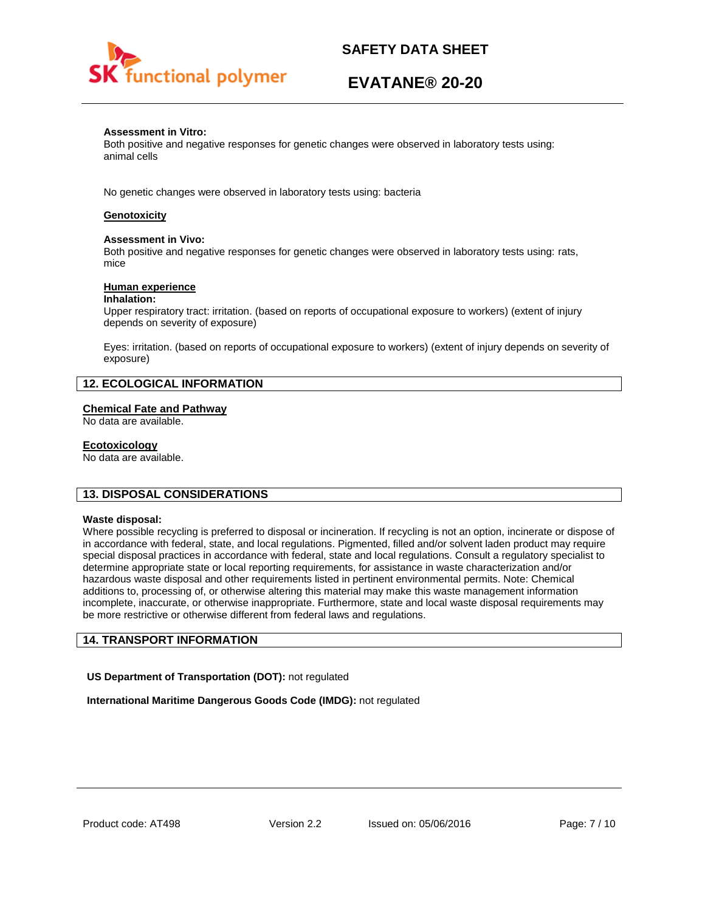

# **EVATANE® 20-20**

## **Assessment in Vitro:**

Both positive and negative responses for genetic changes were observed in laboratory tests using: animal cells

No genetic changes were observed in laboratory tests using: bacteria

# **Genotoxicity**

### **Assessment in Vivo:**

Both positive and negative responses for genetic changes were observed in laboratory tests using: rats, mice

## **Human experience**

### **Inhalation:**

Upper respiratory tract: irritation. (based on reports of occupational exposure to workers) (extent of injury depends on severity of exposure)

Eyes: irritation. (based on reports of occupational exposure to workers) (extent of injury depends on severity of exposure)

# **12. ECOLOGICAL INFORMATION**

# **Chemical Fate and Pathway**

No data are available.

## **Ecotoxicology**

No data are available.

# **13. DISPOSAL CONSIDERATIONS**

### **Waste disposal:**

Where possible recycling is preferred to disposal or incineration. If recycling is not an option, incinerate or dispose of in accordance with federal, state, and local regulations. Pigmented, filled and/or solvent laden product may require special disposal practices in accordance with federal, state and local regulations. Consult a regulatory specialist to determine appropriate state or local reporting requirements, for assistance in waste characterization and/or hazardous waste disposal and other requirements listed in pertinent environmental permits. Note: Chemical additions to, processing of, or otherwise altering this material may make this waste management information incomplete, inaccurate, or otherwise inappropriate. Furthermore, state and local waste disposal requirements may be more restrictive or otherwise different from federal laws and regulations.

# **14. TRANSPORT INFORMATION**

**US Department of Transportation (DOT):** not regulated

**International Maritime Dangerous Goods Code (IMDG):** not regulated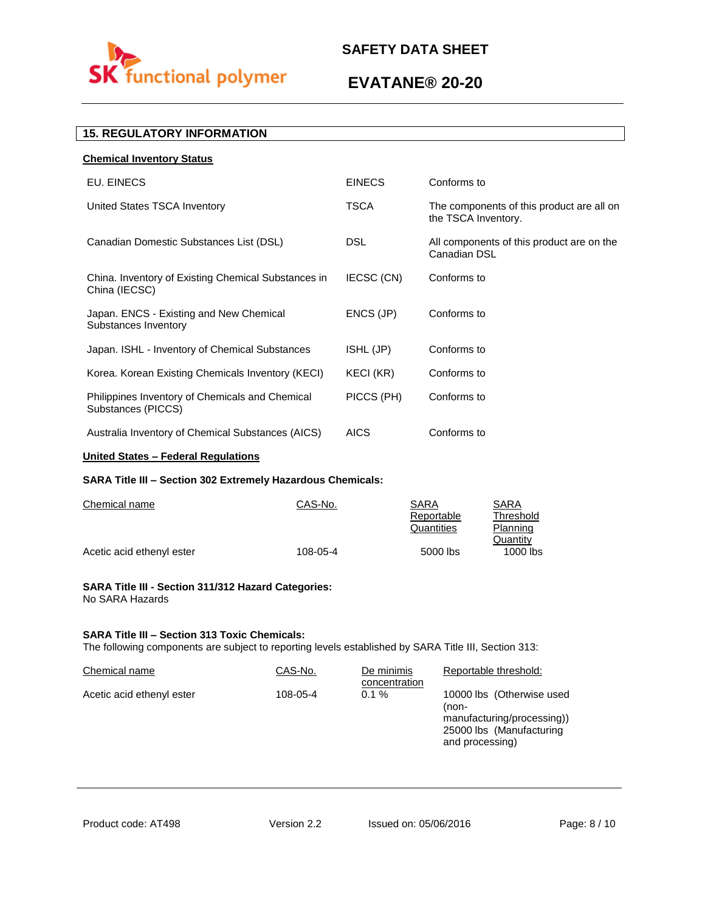

# **EVATANE® 20-20**

# **15. REGULATORY INFORMATION**

| <b>EINECS</b> | Conforms to                                                      |
|---------------|------------------------------------------------------------------|
| TSCA          | The components of this product are all on<br>the TSCA Inventory. |
| <b>DSL</b>    | All components of this product are on the<br>Canadian DSL        |
| IECSC (CN)    | Conforms to                                                      |
| ENCS (JP)     | Conforms to                                                      |
| ISHL (JP)     | Conforms to                                                      |
| KECI (KR)     | Conforms to                                                      |
| PICCS (PH)    | Conforms to                                                      |
| <b>AICS</b>   | Conforms to                                                      |
|               |                                                                  |

# **United States – Federal Regulations**

# **SARA Title III – Section 302 Extremely Hazardous Chemicals:**

| Chemical name             | CAS-No.  | SARA       | SARA       |
|---------------------------|----------|------------|------------|
|                           |          | Reportable | Threshold  |
|                           |          | Quantities | Planning   |
|                           |          |            | Quantity   |
| Acetic acid ethenyl ester | 108-05-4 | 5000 lbs   | $1000$ lbs |

### **SARA Title III - Section 311/312 Hazard Categories:**  No SARA Hazards

# **SARA Title III – Section 313 Toxic Chemicals:**

The following components are subject to reporting levels established by SARA Title III, Section 313:

| Chemical name             | CAS-No.  | De minimis<br>concentration | Reportable threshold:                                                                                           |
|---------------------------|----------|-----------------------------|-----------------------------------------------------------------------------------------------------------------|
| Acetic acid ethenyl ester | 108-05-4 | $0.1 \%$                    | 10000 lbs (Otherwise used<br>(non-<br>manufacturing/processing))<br>25000 lbs (Manufacturing<br>and processing) |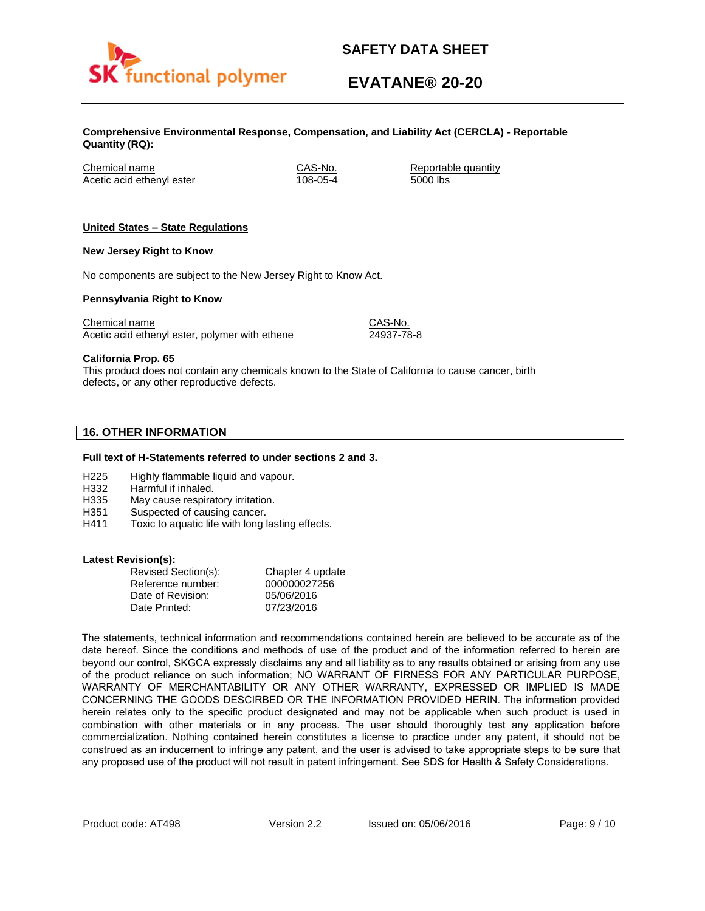

# **EVATANE® 20-20**

**Comprehensive Environmental Response, Compensation, and Liability Act (CERCLA) - Reportable Quantity (RQ):**

Chemical name CAS-No. Reportable quantity Acetic acid ethenyl ester 108-05-4 5000 lbs

# **United States – State Regulations**

## **New Jersey Right to Know**

No components are subject to the New Jersey Right to Know Act.

## **Pennsylvania Right to Know**

Chemical name Chemical name CAS-No. Acetic acid ethenyl ester, polymer with ethene 24937-78-8

**California Prop. 65**

This product does not contain any chemicals known to the State of California to cause cancer, birth defects, or any other reproductive defects.

# **16. OTHER INFORMATION**

### **Full text of H-Statements referred to under sections 2 and 3.**

- H225 Highly flammable liquid and vapour.
- H332 Harmful if inhaled.
- H335 May cause respiratory irritation.
- H351 Suspected of causing cancer.
- H411 Toxic to aquatic life with long lasting effects.

### **Latest Revision(s):**

| Revised Section(s): | Chapter 4 update |
|---------------------|------------------|
| Reference number:   | 000000027256     |
| Date of Revision:   | 05/06/2016       |
| Date Printed:       | 07/23/2016       |

The statements, technical information and recommendations contained herein are believed to be accurate as of the date hereof. Since the conditions and methods of use of the product and of the information referred to herein are beyond our control, SKGCA expressly disclaims any and all liability as to any results obtained or arising from any use of the product reliance on such information; NO WARRANT OF FIRNESS FOR ANY PARTICULAR PURPOSE, WARRANTY OF MERCHANTABILITY OR ANY OTHER WARRANTY, EXPRESSED OR IMPLIED IS MADE CONCERNING THE GOODS DESCIRBED OR THE INFORMATION PROVIDED HERIN. The information provided herein relates only to the specific product designated and may not be applicable when such product is used in combination with other materials or in any process. The user should thoroughly test any application before commercialization. Nothing contained herein constitutes a license to practice under any patent, it should not be construed as an inducement to infringe any patent, and the user is advised to take appropriate steps to be sure that any proposed use of the product will not result in patent infringement. See SDS for Health & Safety Considerations.

Product code: AT498 Version 2.2 Issued on: 05/06/2016 Page: 9/10